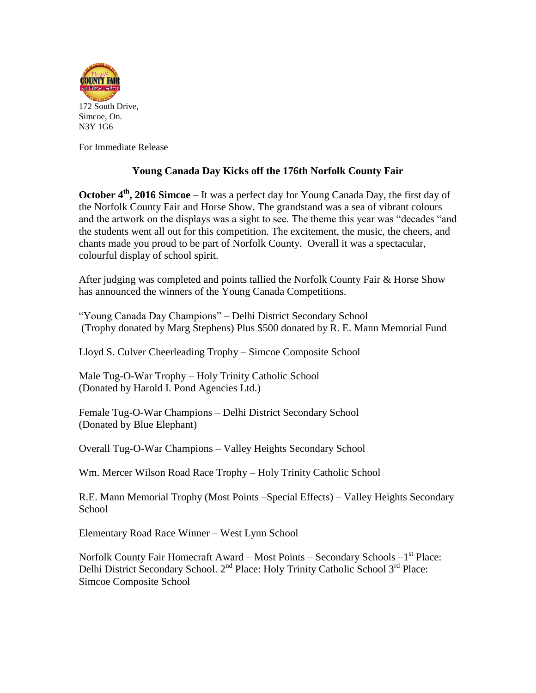

For Immediate Release

## **Young Canada Day Kicks off the 176th Norfolk County Fair**

**October 4<sup>th</sup>**, 2016 Simcoe – It was a perfect day for Young Canada Day, the first day of the Norfolk County Fair and Horse Show. The grandstand was a sea of vibrant colours and the artwork on the displays was a sight to see. The theme this year was "decades "and the students went all out for this competition. The excitement, the music, the cheers, and chants made you proud to be part of Norfolk County. Overall it was a spectacular, colourful display of school spirit.

After judging was completed and points tallied the Norfolk County Fair & Horse Show has announced the winners of the Young Canada Competitions.

"Young Canada Day Champions" – Delhi District Secondary School (Trophy donated by Marg Stephens) Plus \$500 donated by R. E. Mann Memorial Fund

Lloyd S. Culver Cheerleading Trophy – Simcoe Composite School

Male Tug-O-War Trophy – Holy Trinity Catholic School (Donated by Harold I. Pond Agencies Ltd.)

Female Tug-O-War Champions – Delhi District Secondary School (Donated by Blue Elephant)

Overall Tug-O-War Champions – Valley Heights Secondary School

Wm. Mercer Wilson Road Race Trophy – Holy Trinity Catholic School

R.E. Mann Memorial Trophy (Most Points –Special Effects) – Valley Heights Secondary School

Elementary Road Race Winner – West Lynn School

Norfolk County Fair Homecraft Award – Most Points – Secondary Schools –1<sup>st</sup> Place: Delhi District Secondary School. 2<sup>nd</sup> Place: Holy Trinity Catholic School 3<sup>rd</sup> Place: Simcoe Composite School